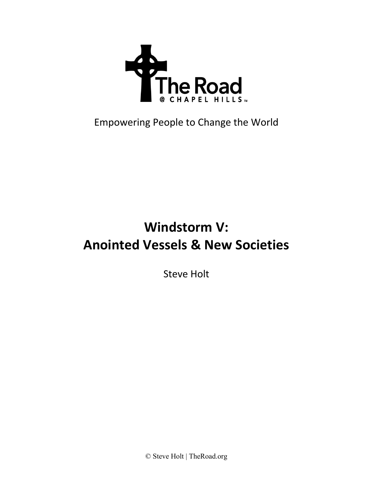

## Empowering People to Change the World

# **Windstorm V: Anointed Vessels & New Societies**

Steve Holt

© Steve Holt | TheRoad.org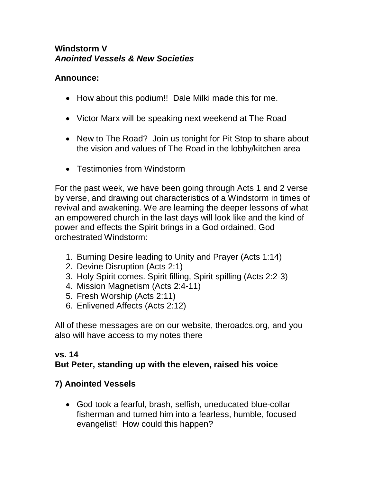#### **Windstorm V** *Anointed Vessels & New Societies*

#### **Announce:**

- How about this podium!! Dale Milki made this for me.
- Victor Marx will be speaking next weekend at The Road
- New to The Road? Join us tonight for Pit Stop to share about the vision and values of The Road in the lobby/kitchen area
- Testimonies from Windstorm

For the past week, we have been going through Acts 1 and 2 verse by verse, and drawing out characteristics of a Windstorm in times of revival and awakening. We are learning the deeper lessons of what an empowered church in the last days will look like and the kind of power and effects the Spirit brings in a God ordained, God orchestrated Windstorm:

- 1. Burning Desire leading to Unity and Prayer (Acts 1:14)
- 2. Devine Disruption (Acts 2:1)
- 3. Holy Spirit comes. Spirit filling, Spirit spilling (Acts 2:2-3)
- 4. Mission Magnetism (Acts 2:4-11)
- 5. Fresh Worship (Acts 2:11)
- 6. Enlivened Affects (Acts 2:12)

All of these messages are on our website, theroadcs.org, and you also will have access to my notes there

#### **vs. 14 But Peter, standing up with the eleven, raised his voice**

### **7) Anointed Vessels**

• God took a fearful, brash, selfish, uneducated blue-collar fisherman and turned him into a fearless, humble, focused evangelist! How could this happen?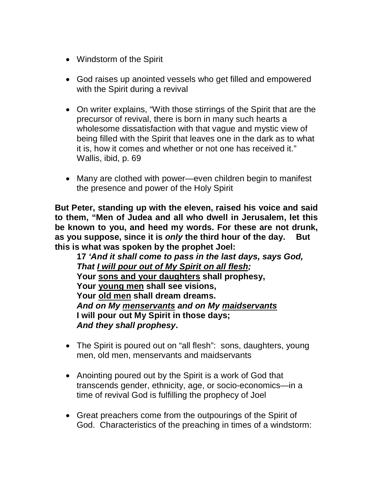- Windstorm of the Spirit
- God raises up anointed vessels who get filled and empowered with the Spirit during a revival
- On writer explains, "With those stirrings of the Spirit that are the precursor of revival, there is born in many such hearts a wholesome dissatisfaction with that vague and mystic view of being filled with the Spirit that leaves one in the dark as to what it is, how it comes and whether or not one has received it." Wallis, ibid, p. 69
- Many are clothed with power—even children begin to manifest the presence and power of the Holy Spirit

**But Peter, standing up with the eleven, raised his voice and said to them, "Men of Judea and all who dwell in Jerusalem, let this be known to you, and heed my words. For these are not drunk, as you suppose, since it is** *only* **the third hour of the day. But this is what was spoken by the prophet Joel:**

**17** *'And it shall come to pass in the last days, says God, That I will pour out of My Spirit on all flesh;* **Your sons and your daughters shall prophesy, Your young men shall see visions, Your old men shall dream dreams.** *And on My menservants and on My maidservants* **I will pour out My Spirit in those days;** *And they shall prophesy***.** 

- The Spirit is poured out on "all flesh": sons, daughters, young men, old men, menservants and maidservants
- Anointing poured out by the Spirit is a work of God that transcends gender, ethnicity, age, or socio-economics—in a time of revival God is fulfilling the prophecy of Joel
- Great preachers come from the outpourings of the Spirit of God. Characteristics of the preaching in times of a windstorm: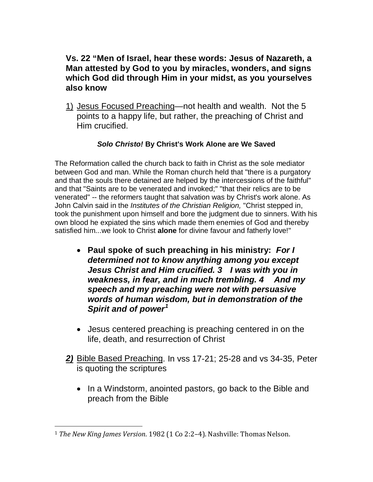#### **Vs. 22 "Men of Israel, hear these words: Jesus of Nazareth, a Man attested by God to you by miracles, wonders, and signs which God did through Him in your midst, as you yourselves also know**

1) Jesus Focused Preaching—not health and wealth. Not the 5 points to a happy life, but rather, the preaching of Christ and Him crucified.

#### *Solo Christo!* **By Christ's Work Alone are We Saved**

The Reformation called the church back to faith in Christ as the sole mediator between God and man. While the Roman church held that "there is a purgatory and that the souls there detained are helped by the intercessions of the faithful" and that "Saints are to be venerated and invoked;" "that their relics are to be venerated" -- the reformers taught that salvation was by Christ's work alone. As John Calvin said in the *Institutes of the Christian Religion,* "Christ stepped in, took the punishment upon himself and bore the judgment due to sinners. With his own blood he expiated the sins which made them enemies of God and thereby satisfied him...we look to Christ **alone** for divine favour and fatherly love!"

- **Paul spoke of such preaching in his ministry:** *For I determined not to know anything among you except Jesus Christ and Him crucified. 3 I was with you in weakness, in fear, and in much trembling. 4 And my speech and my preaching were not with persuasive words of human wisdom, but in demonstration of the Spirit and of power[1](#page-3-0)*
- Jesus centered preaching is preaching centered in on the life, death, and resurrection of Christ
- *2)* Bible Based Preaching. In vss 17-21; 25-28 and vs 34-35, Peter is quoting the scriptures
	- In a Windstorm, anointed pastors, go back to the Bible and preach from the Bible

<span id="page-3-0"></span><sup>1</sup> *The New King James Version*. 1982 (1 Co 2:2–4). Nashville: Thomas Nelson.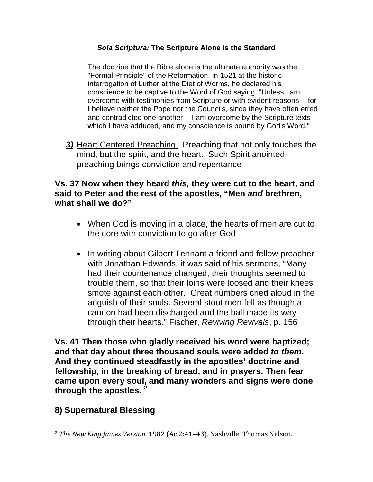#### *Sola Scriptura:* **The Scripture Alone is the Standard**

The doctrine that the Bible alone is the ultimate authority was the "Formal Principle" of the Reformation. In 1521 at the historic interrogation of Luther at the Diet of Worms, he declared his conscience to be captive to the Word of God saying, "Unless I am overcome with testimonies from Scripture or with evident reasons -- for I believe neither the Pope nor the Councils, since they have often erred and contradicted one another -- I am overcome by the Scripture texts which I have adduced, and my conscience is bound by God's Word."

*3)* Heart Centered Preaching. Preaching that not only touches the mind, but the spirit, and the heart. Such Spirit anointed preaching brings conviction and repentance

#### **Vs. 37 Now when they heard** *this,* **they were cut to the heart, and said to Peter and the rest of the apostles, "Men** *and* **brethren, what shall we do?"**

- When God is moving in a place, the hearts of men are cut to the core with conviction to go after God
- In writing about Gilbert Tennant a friend and fellow preacher with Jonathan Edwards, it was said of his sermons, "Many had their countenance changed; their thoughts seemed to trouble them, so that their loins were loosed and their knees smote against each other. Great numbers cried aloud in the anguish of their souls. Several stout men fell as though a cannon had been discharged and the ball made its way through their hearts." Fischer, *Reviving Revivals*, p. 156

**Vs. 41 Then those who gladly received his word were baptized; and that day about three thousand souls were added** *to them***. And they continued steadfastly in the apostles' doctrine and fellowship, in the breaking of bread, and in prayers. Then fear came upon every soul, and many wonders and signs were done through the apostles. [2](#page-4-0)**

#### **8) Supernatural Blessing**

<span id="page-4-0"></span><sup>2</sup> *The New King James Version*. 1982 (Ac 2:41–43). Nashville: Thomas Nelson.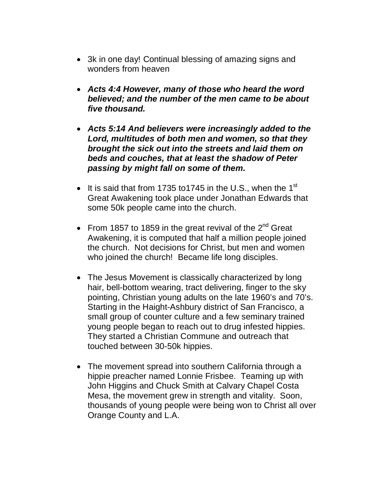- 3k in one day! Continual blessing of amazing signs and wonders from heaven
- *Acts 4:4 However, many of those who heard the word believed; and the number of the men came to be about five thousand.*
- *Acts 5:14 And believers were increasingly added to the Lord, multitudes of both men and women, so that they brought the sick out into the streets and laid them on beds and couches, that at least the shadow of Peter passing by might fall on some of them.*
- It is said that from 1735 to 1745 in the U.S., when the 1<sup>st</sup> Great Awakening took place under Jonathan Edwards that some 50k people came into the church.
- From 1857 to 1859 in the great revival of the  $2^{nd}$  Great Awakening, it is computed that half a million people joined the church. Not decisions for Christ, but men and women who joined the church! Became life long disciples.
- The Jesus Movement is classically characterized by long hair, bell-bottom wearing, tract delivering, finger to the sky pointing, Christian young adults on the late 1960's and 70's. Starting in the Haight-Ashbury district of San Francisco, a small group of counter culture and a few seminary trained young people began to reach out to drug infested hippies. They started a Christian Commune and outreach that touched between 30-50k hippies.
- The movement spread into southern California through a hippie preacher named Lonnie Frisbee. Teaming up with John Higgins and Chuck Smith at Calvary Chapel Costa Mesa, the movement grew in strength and vitality. Soon, thousands of young people were being won to Christ all over Orange County and L.A.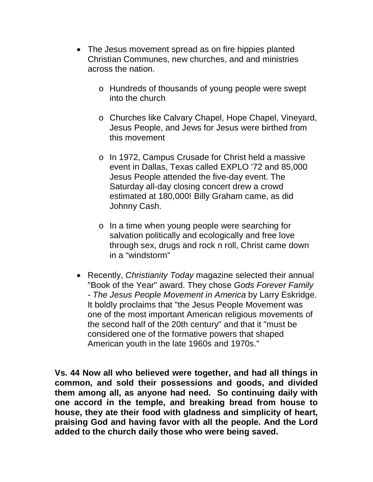- The Jesus movement spread as on fire hippies planted Christian Communes, new churches, and and ministries across the nation.
	- o Hundreds of thousands of young people were swept into the church
	- o Churches like Calvary Chapel, Hope Chapel, Vineyard, Jesus People, and Jews for Jesus were birthed from this movement
	- o In 1972, Campus Crusade for Christ held a massive event in Dallas, Texas called EXPLO '72 and 85,000 Jesus People attended the five-day event. The Saturday all-day closing concert drew a crowd estimated at 180,000! Billy Graham came, as did Johnny Cash.
	- o In a time when young people were searching for salvation politically and ecologically and free love through sex, drugs and rock n roll, Christ came down in a "windstorm"
- Recently, *Christianity Today* magazine selected their annual "Book of the Year" award. They chose *Gods Forever Family - The Jesus People Movement in America* by Larry Eskridge. It boldly proclaims that "the Jesus People Movement was one of the most important American religious movements of the second half of the 20th century" and that it "must be considered one of the formative powers that shaped American youth in the late 1960s and 1970s."

**Vs. 44 Now all who believed were together, and had all things in common, and sold their possessions and goods, and divided them among all, as anyone had need. So continuing daily with one accord in the temple, and breaking bread from house to house, they ate their food with gladness and simplicity of heart, praising God and having favor with all the people. And the Lord added to the church daily those who were being saved.**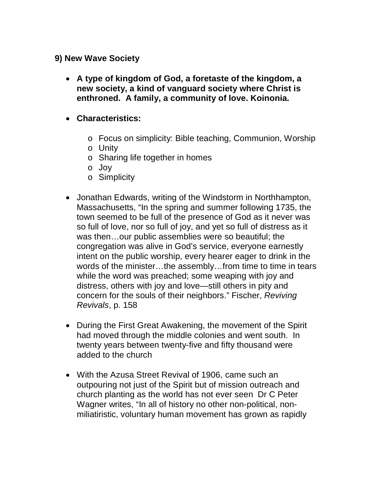#### **9) New Wave Society**

- **A type of kingdom of God, a foretaste of the kingdom, a new society, a kind of vanguard society where Christ is enthroned. A family, a community of love. Koinonia.**
- **Characteristics:**
	- o Focus on simplicity: Bible teaching, Communion, Worship
	- o Unity
	- o Sharing life together in homes
	- o Joy
	- o Simplicity
- Jonathan Edwards, writing of the Windstorm in Northhampton, Massachusetts, "In the spring and summer following 1735, the town seemed to be full of the presence of God as it never was so full of love, nor so full of joy, and yet so full of distress as it was then…our public assemblies were so beautiful; the congregation was alive in God's service, everyone earnestly intent on the public worship, every hearer eager to drink in the words of the minister…the assembly…from time to time in tears while the word was preached; some weaping with joy and distress, others with joy and love—still others in pity and concern for the souls of their neighbors." Fischer, *Reviving Revivals*, p. 158
- During the First Great Awakening, the movement of the Spirit had moved through the middle colonies and went south. In twenty years between twenty-five and fifty thousand were added to the church
- With the Azusa Street Revival of 1906, came such an outpouring not just of the Spirit but of mission outreach and church planting as the world has not ever seen Dr C Peter Wagner writes, "In all of history no other non-political, nonmiliatiristic, voluntary human movement has grown as rapidly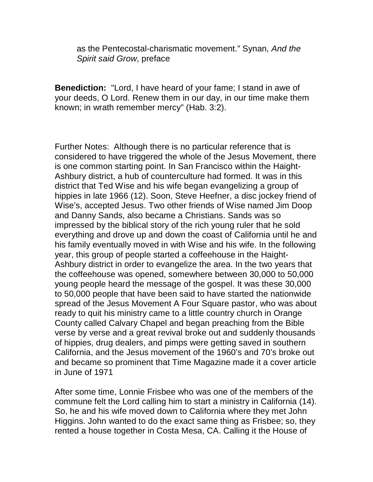as the Pentecostal-charismatic movement." Synan, *And the Spirit said Grow*, preface

**Benediction:** "Lord, I have heard of your fame; I stand in awe of your deeds, O Lord. Renew them in our day, in our time make them known; in wrath remember mercy" (Hab. 3:2).

Further Notes: Although there is no particular reference that is considered to have triggered the whole of the Jesus Movement, there is one common starting point. In San Francisco within the Haight-Ashbury district, a hub of counterculture had formed. It was in this district that Ted Wise and his wife began evangelizing a group of hippies in late 1966 (12). Soon, Steve Heefner, a disc jockey friend of Wise's, accepted Jesus. Two other friends of Wise named Jim Doop and Danny Sands, also became a Christians. Sands was so impressed by the biblical story of the rich young ruler that he sold everything and drove up and down the coast of California until he and his family eventually moved in with Wise and his wife. In the following year, this group of people started a coffeehouse in the Haight-Ashbury district in order to evangelize the area. In the two years that the coffeehouse was opened, somewhere between 30,000 to 50,000 young people heard the message of the gospel. It was these 30,000 to 50,000 people that have been said to have started the nationwide spread of the Jesus Movement A Four Square pastor, who was about ready to quit his ministry came to a little country church in Orange County called Calvary Chapel and began preaching from the Bible verse by verse and a great revival broke out and suddenly thousands of hippies, drug dealers, and pimps were getting saved in southern California, and the Jesus movement of the 1960's and 70's broke out and became so prominent that Time Magazine made it a cover article in June of 1971

After some time, Lonnie Frisbee who was one of the members of the commune felt the Lord calling him to start a ministry in California (14). So, he and his wife moved down to California where they met John Higgins. John wanted to do the exact same thing as Frisbee; so, they rented a house together in Costa Mesa, CA. Calling it the House of